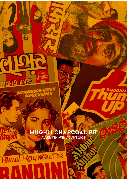## MUGHLI CHARCOAL PIT ALLERGEN MENU JUNE 2021

 $\epsilon$ 

@MUGHLI

ല്

Ø2.

 $0 - 0$ 

O

dlar

DHARMENDRA-NUTAN

Binner ROW PRODUCTION'S

chin.

ICNC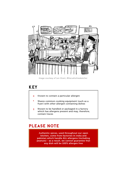

*Image courtesy of Len Grant, #therusholmesketcher* 

## KEY

- **o** Known to contain a particular allergen
- Shares common cooking equipment (such as a fryer) with other allergen containing dishes
- $\pm$  Known to be handled or packaged in a factory which has allergens present and may, therefore, contain traces

#### PLEASE NOTE

Authentic spices, used throughout our open kitchen, come from factories in india and pakistan which handle ALL allergens (including peanuts) - as a result, we cannot guarantee that any dish will be 100% allergen free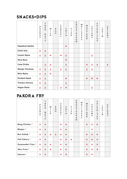## sN ACKS+dips

|                      | P<br>E<br>A<br>N<br>U<br>T | T<br>$\mathsf{R}$<br>E<br>E.<br>$\mathbf N$<br>U<br>T<br>$\mathsf{S}$ | м<br>$\bf{I}$<br>L<br>К | E<br>G<br>G | C<br>E<br>$\mathsf{R}$<br>E<br>A<br>$\mathbf{L}$ | $\mathsf S$<br>$\circ$<br>Y<br>A | F<br>I<br>S<br>H | $\mathsf C$<br>$\mathsf{R}$<br>U<br>$\mathsf{S}$<br>T<br>A<br>$\mathsf{C}$<br>E<br>A<br>$\mathsf{N}$ | M<br>$\circ$<br>L<br>L<br>U<br>$\mathsf S$<br>$\mathsf{C}$<br>$\mathsf{S}$ | M<br>U<br>$\sf S$<br>T<br>$\boldsymbol{\mathsf{A}}$<br>${\sf R}$<br>D | S<br>E<br>S<br>$\boldsymbol{\mathsf{A}}$<br>м<br>E | S<br>U<br>L<br>P<br>Η<br>I<br>T<br>E<br>$\mathsf{S}$ | L<br>U<br>$\mathsf{P}$<br>I<br>$\overline{N}$ | $\mathsf{C}$<br>E<br>l.<br>E<br>${\sf R}$<br>Y |
|----------------------|----------------------------|-----------------------------------------------------------------------|-------------------------|-------------|--------------------------------------------------|----------------------------------|------------------|------------------------------------------------------------------------------------------------------|----------------------------------------------------------------------------|-----------------------------------------------------------------------|----------------------------------------------------|------------------------------------------------------|-----------------------------------------------|------------------------------------------------|
| Papadum Basket       |                            |                                                                       |                         |             |                                                  | $\bullet$                        |                  |                                                                                                      |                                                                            |                                                                       |                                                    |                                                      |                                               |                                                |
| Chilli Imli          | 士                          | Ŧ                                                                     |                         |             |                                                  |                                  |                  |                                                                                                      |                                                                            |                                                                       |                                                    |                                                      |                                               |                                                |
| <b>Cumin Raita</b>   | Ŧ                          | Ŧ                                                                     | $\mathbf{o}$            |             | $\mathbf{o}$                                     | Ŧ                                |                  |                                                                                                      |                                                                            |                                                                       | Ŧ                                                  |                                                      |                                               |                                                |
| Hara Bara            |                            |                                                                       |                         |             |                                                  | $\mathbf{o}$                     |                  |                                                                                                      |                                                                            |                                                                       |                                                    |                                                      |                                               |                                                |
| Lime Pickle          |                            | Ŧ                                                                     | Ŧ                       |             |                                                  | Ŧ                                |                  |                                                                                                      |                                                                            | $\bullet$                                                             | Ŧ                                                  | Ŧ                                                    |                                               | 土                                              |
| <b>Mango Chutney</b> | Ŧ                          | Ŧ                                                                     | Ŧ                       |             | Ŧ                                                | Ŧ                                |                  |                                                                                                      |                                                                            | 士                                                                     | Ŧ                                                  |                                                      |                                               |                                                |
| <b>Mint Raita</b>    | Ŧ                          | Ŧ                                                                     | $\mathbf{o}$            |             |                                                  |                                  |                  |                                                                                                      |                                                                            |                                                                       |                                                    |                                                      |                                               |                                                |
| <b>Pickled Salad</b> | Ŧ                          | Ŧ                                                                     |                         |             |                                                  | $\mathbf{o}$                     |                  |                                                                                                      |                                                                            | $\mathbf{o}$                                                          | $\mathbf{o}$                                       | $\mathbf{o}$                                         |                                               |                                                |
| <b>Tomato Onions</b> | Ŧ                          | Ŧ                                                                     |                         |             |                                                  | Ŧ                                |                  |                                                                                                      |                                                                            |                                                                       |                                                    |                                                      |                                               |                                                |
| Vegan Raita          | 士                          | Ŧ                                                                     |                         |             | Ŧ                                                | $\bullet$                        |                  |                                                                                                      |                                                                            |                                                                       | Ŧ                                                  |                                                      |                                               |                                                |

# PAKORA FRY

|                   | P<br>E<br>A<br>N<br>U<br>T | T<br>${\sf R}$<br>E<br>E<br>$\overline{N}$<br>U<br>T<br>$\mathsf{S}$ | м<br>I<br>L<br>К | E<br>G<br>G  | C<br>E<br>$\overline{\mathsf{R}}$<br>E<br>A<br>L | $\mathsf S$<br>$\circ$<br>Y<br>A | F<br>I<br>S<br>H | $\mathsf{C}$<br>$\overline{\mathsf{R}}$<br>U<br>$\mathsf S$<br>T<br>A<br>$\mathsf{C}$<br>E<br>A<br>N | м<br>O<br>L<br>L<br>U<br>$\sf S$<br>$\mathsf{C}$<br>$\overline{\mathsf{s}}$ | M<br>U<br>$\frac{1}{T}$<br>$\boldsymbol{\mathsf{A}}$<br>${\sf R}$<br>D | S<br>E<br>S<br>A<br>М<br>E | $\mathsf S$<br>U<br>L<br>$\mathsf{P}$<br>H<br>I<br>T<br>E<br>$\overline{s}$ | L<br>U<br>$\mathsf{P}$<br>I<br>N | $\frac{C}{E}$<br>l.<br>$\frac{E}{R}$<br>Y |
|-------------------|----------------------------|----------------------------------------------------------------------|------------------|--------------|--------------------------------------------------|----------------------------------|------------------|------------------------------------------------------------------------------------------------------|-----------------------------------------------------------------------------|------------------------------------------------------------------------|----------------------------|-----------------------------------------------------------------------------|----------------------------------|-------------------------------------------|
| Bang Chicken *    | 士                          | 士                                                                    |                  |              | 士                                                | $\mathbf{o}$                     |                  |                                                                                                      |                                                                             | $\bullet$                                                              | 士                          | $\bullet$                                                                   |                                  |                                           |
| Bhajias *         | 士                          | 士                                                                    |                  |              | 士                                                | $\mathbf{o}$                     |                  |                                                                                                      |                                                                             |                                                                        | 士                          |                                                                             |                                  |                                           |
| Bun Kebab *       | 士                          | 士                                                                    | $\mathbf{o}$     | $\mathbf{o}$ | $\bullet$                                        | $\bullet$                        |                  |                                                                                                      |                                                                             | $\bullet$                                                              | $\bullet$                  | $\bullet$                                                                   |                                  |                                           |
| Fish Pakora *     | 士                          | 士                                                                    |                  |              | 士                                                | $\mathbf{o}$                     | $\mathbf{o}$     |                                                                                                      |                                                                             | $\mathbf{o}$                                                           | $\bullet$                  | $\bullet$                                                                   |                                  |                                           |
| Gunpowder Fries * | 士                          | 士                                                                    | 士                |              | 士                                                | $\bullet$                        |                  |                                                                                                      |                                                                             | 士                                                                      | 士                          | 士                                                                           |                                  |                                           |
| Okra Fries *      | 士                          | 士                                                                    | 士                |              | $\bullet$                                        | $\bullet$                        |                  |                                                                                                      |                                                                             | 士                                                                      | 士                          | 士                                                                           |                                  |                                           |
| Samosa *          | 士                          | 士                                                                    |                  |              | $\bullet$                                        | $\bullet$                        |                  |                                                                                                      |                                                                             | 士                                                                      | 士                          |                                                                             |                                  |                                           |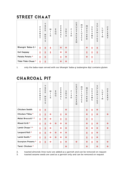### STREET CHA AT

|                              | P<br>E<br>A<br>N<br>U<br>т | T<br>$\mathsf{R}$<br>E<br>E<br>N<br>U<br>T<br>S | м<br>I<br>L<br>К | E<br>G<br>G | C<br>E<br>R<br>E<br>A<br>L | S<br>$\circ$<br>Y<br>A | F<br>т<br>1<br>S<br>H | C<br>$\mathsf{R}$<br>U<br>S<br>T<br>A<br>C<br>E<br>A<br>$\mathsf{N}$ | м<br>$\circ$<br>L<br>L<br>U<br>$\mathsf S$<br>$\mathsf{C}$<br>$\mathsf{S}$ | M<br>U<br>$\mathsf S$<br>$\overline{T}$<br>A<br>$\mathsf{R}$<br>D | S<br>E<br>$\sf S$<br>A<br>M<br>E | S<br>U<br>L<br>P<br>H<br>I<br>T<br>E<br>S | L<br>U<br>P<br>I<br>N | C<br>E<br>L<br>E<br>$\mathsf{R}$<br>Y |
|------------------------------|----------------------------|-------------------------------------------------|------------------|-------------|----------------------------|------------------------|-----------------------|----------------------------------------------------------------------|----------------------------------------------------------------------------|-------------------------------------------------------------------|----------------------------------|-------------------------------------------|-----------------------|---------------------------------------|
| Bhangin' Baba-G <sup>1</sup> | 士                          | 土                                               | Ŧ                |             | $\mathbf{o}$               | $\mathbf{o}$           |                       |                                                                      |                                                                            | $\mathbf{o}$                                                      | Ŧ                                | 土                                         |                       |                                       |
| <b>Gol Gappay</b>            | 士                          | 土                                               | 土                |             | $\mathbf{o}$               | $\circ$                |                       |                                                                      |                                                                            | 土                                                                 | 土                                | 土                                         |                       |                                       |
| Pataka Potato *              | Ŧ                          | 土                                               |                  |             | Ŧ                          | $\mathbf{o}$           |                       |                                                                      |                                                                            | $\mathbf{o}$                                                      | 土                                |                                           |                       |                                       |
| Tikki Tikki Chaat *          | 士                          | 士                                               |                  |             | $\mathbf{o}$               | $\mathbf{o}$           |                       |                                                                      |                                                                            |                                                                   | Ŧ                                |                                           |                       |                                       |

1. only the baba-naan served with our bhangin' baba-g (aubergine dip) contains gluten

## CHARCOAL PIT

|                              | P<br>E<br>A<br>N<br>U<br>T | T<br>${\sf R}$<br>E<br>E<br>N<br>U<br>T<br>S | M<br>$\mathbf{I}$<br>L<br>К | E<br>G<br>G  | C<br>E<br>$\mathsf{R}$<br>E<br>A<br>L | $\mathsf S$<br>$\circ$<br>Y<br>A | F<br>$\mathbf{I}$<br>S<br>H | $\mathsf C$<br>${\sf R}$<br>U<br>S<br>T<br>A<br>$\mathsf{C}$<br>E<br>A<br>$\mathbf N$ | M<br>$\circ$<br>L<br>L<br>U<br>S<br>$\mathsf{C}$<br>$\overline{\mathsf{s}}$ | M<br>U<br>S<br>T<br>A<br>$\mathsf{R}$<br>D | $\mathsf S$<br>E<br>S<br>A<br>M<br>E | S<br>$\sf U$<br>L<br>P<br>H<br>I<br>T<br>E<br>$\mathsf{S}$ | L<br>U<br>$\mathsf{P}$<br>$\mathbf I$<br>$\overline{M}$ | $\mathsf{C}$<br>E<br>L<br>E<br>${\sf R}$<br>Y |
|------------------------------|----------------------------|----------------------------------------------|-----------------------------|--------------|---------------------------------------|----------------------------------|-----------------------------|---------------------------------------------------------------------------------------|-----------------------------------------------------------------------------|--------------------------------------------|--------------------------------------|------------------------------------------------------------|---------------------------------------------------------|-----------------------------------------------|
| Chicken Seekh                | 士                          | 士                                            |                             |              |                                       | $\mathbf{o}$                     |                             |                                                                                       |                                                                             | Ŧ                                          | Ŧ                                    | $\mathbf{o}$                                               |                                                         |                                               |
| Chicken Tikka *              | Ŧ                          | 士                                            | $\mathbf{o}$                |              | Ŧ                                     | $\mathbf{o}$                     |                             |                                                                                       |                                                                             | $\mathbf{o}$                               | 士                                    | $\mathbf{o}$                                               |                                                         | $\mathbf{o}$                                  |
| Malai Broccoli <sup>2*</sup> | Ŧ                          | $\mathbf{o}$                                 | $\mathbf{o}$                |              | Ŧ                                     | Ŧ                                |                             |                                                                                       |                                                                             | Ŧ                                          | 士                                    |                                                            |                                                         |                                               |
| Mixed Grill *                | Ŧ                          | Ŧ                                            | $\mathbf{o}$                | $\mathbf{o}$ | $\mathbf{o}$                          | $\mathbf{o}$                     |                             |                                                                                       |                                                                             | $\mathbf{o}$                               | Ŧ                                    | $\mathbf{o}$                                               |                                                         | $\mathbf{o}$                                  |
| Lamb Chops 3 *               | Ŧ                          | Ŧ                                            | $\mathbf{o}$                |              | $\mathbf{o}$                          | $\mathbf{o}$                     |                             |                                                                                       |                                                                             | $\mathbf{o}$                               | $\mathbf{o}$                         | $\mathbf{o}$                                               |                                                         | $\mathbf{o}$                                  |
| Leopard Roll *               | 士                          | Ŧ                                            | $\bullet$                   | $\mathbf{o}$ | $\bullet$                             | $\mathbf{o}$                     |                             |                                                                                       |                                                                             | Ŧ                                          | 士                                    | $\mathbf{o}$                                               |                                                         |                                               |
| Lamb Seekh *                 | 士                          | 士                                            | $\bullet$                   | $\mathbf{o}$ | $\mathbf{o}$                          | $\mathbf{o}$                     |                             |                                                                                       |                                                                             | Ŧ                                          | Ŧ                                    | $\bullet$                                                  |                                                         |                                               |
| Scorpion Prawns *            | 士                          | Ŧ                                            | $\bullet$                   |              | 士                                     | $\mathbf{o}$                     |                             | $\mathbf{o}$                                                                          |                                                                             | $\mathbf{o}$                               | Ŧ                                    | $\mathbf{o}$                                               |                                                         | $\mathbf{o}$                                  |
| Tand. Chicken *              |                            |                                              |                             |              |                                       | $\mathbf{o}$                     |                             |                                                                                       |                                                                             | $\mathbf{o}$                               |                                      | $\mathbf{o}$                                               |                                                         | $\mathbf{o}$                                  |

2. toasted almonds (tree nuts) are added as a garnish and can be removed on request

3. toasted sesame seeds are used as a garnish only and can be removed on request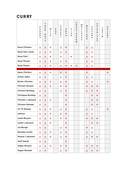## CURRY

|                       | P<br>E<br>A<br>N<br>U<br>T | T<br>R<br>E<br>E<br>N<br>U<br>T<br>S | м<br>$\mathbf{I}$<br>L<br>к | E.<br>G.<br>G | $\mathsf C$<br>E<br>$\mathsf{R}$<br>E.<br>A<br>L | S<br>$\circ$<br>Y<br>A | F<br>$\mathbf{I}$<br>$\mathsf S$<br>H | $\mathsf{C}$<br>$\mathsf{R}$<br>U<br>S<br>T<br>A<br>$\mathsf{C}$<br>E<br>A<br>N | м<br>O<br>L<br>L<br>U<br>$\sf S$<br>$\mathsf{C}$<br>$\mathsf{S}$ | M<br>U<br>$\sf S$<br>$\mathsf T$<br>A<br>${\sf R}$<br>D | S<br>E<br>S<br>А<br>М<br>E | S<br>U<br>L<br>P<br>H<br>$\bf{I}$<br>T<br>E<br>$\mathsf S$ | L<br>U<br>P<br>$\bf{I}$<br>N | $\mathsf C$<br>E<br>L<br>$\mathsf E$<br>${\sf R}$<br>Y |
|-----------------------|----------------------------|--------------------------------------|-----------------------------|---------------|--------------------------------------------------|------------------------|---------------------------------------|---------------------------------------------------------------------------------|------------------------------------------------------------------|---------------------------------------------------------|----------------------------|------------------------------------------------------------|------------------------------|--------------------------------------------------------|
| Karai Chicken         | 士                          | Ŧ                                    | $\bullet$                   |               | Ŧ                                                | $\mathbf{o}$           |                                       |                                                                                 |                                                                  | Ŧ                                                       | Ŧ                          |                                                            |                              |                                                        |
| Karai Desi Lamb       | Ŧ                          | 士                                    | $\mathbf{o}$                |               | Ŧ                                                | $\mathbf{o}$           |                                       |                                                                                 |                                                                  | Ŧ                                                       | 士                          |                                                            |                              |                                                        |
| Karai Fish *          | 士                          | Ŧ                                    | $\bullet$                   |               | Ŧ                                                |                        | $\mathbf{o}$                          |                                                                                 |                                                                  | Ŧ                                                       | Ŧ                          |                                                            |                              |                                                        |
| Karai Paneer          | 士                          | Ŧ                                    | $\mathbf{o}$                |               | 士                                                | $\mathbf{o}$           |                                       |                                                                                 |                                                                  | Ŧ                                                       | Ŧ                          |                                                            |                              |                                                        |
| Karai Prawn           | Ŧ                          | Ŧ                                    | $\bullet$                   |               | Ŧ                                                | $\mathbf{o}$           | $\mathbf{o}$                          | $\mathbf{o}$                                                                    |                                                                  | Ŧ                                                       | Ŧ                          |                                                            |                              |                                                        |
| Apna Chicken          | 士                          | Ŧ                                    | $\mathbf{o}$                |               | $\bullet$                                        | $\bullet$              |                                       |                                                                                 |                                                                  | $\mathbf{o}$                                            |                            |                                                            |                              | $\mathbf{o}$                                           |
| Achari Sabsi          | 士                          | Ŧ                                    |                             |               | Ŧ                                                | $\bullet$              |                                       |                                                                                 |                                                                  | Ŧ                                                       | Ŧ                          |                                                            |                              |                                                        |
| <b>Butter Chicken</b> | Ŧ                          | Ŧ                                    | $\mathbf{o}$                |               | 士                                                | $\mathbf{o}$           |                                       |                                                                                 |                                                                  | Ŧ                                                       | Ŧ                          |                                                            |                              | $\mathbf{o}$                                           |
| Chicken Biryani       | Ŧ                          | Ŧ                                    | $\mathbf{o}$                |               | $\mathbf{o}$                                     | $\mathbf{o}$           |                                       |                                                                                 |                                                                  | $\mathbf{o}$                                            | $\mathbf{o}$               | $\mathbf{o}$                                               |                              |                                                        |
| Chicken Bombay        | Ŧ                          | Ŧ                                    |                             |               | Ŧ                                                | $\mathbf{o}$           |                                       |                                                                                 |                                                                  | Ŧ                                                       | $\mathbf{o}$               | $\mathbf{o}$                                               |                              |                                                        |
| Chickpea Bombay       | 士                          | 士                                    |                             |               |                                                  | $\mathbf{o}$           |                                       |                                                                                 |                                                                  |                                                         | $\mathbf{o}$               | $\mathbf{o}$                                               |                              |                                                        |
| Chicken L.Spinach     | 士                          | Ŧ                                    | $\bullet$                   |               |                                                  | $\mathbf{o}$           |                                       |                                                                                 |                                                                  |                                                         | $\mathbf{o}$               | $\mathbf{o}$                                               |                              |                                                        |
| Chicken Romaal        | Ŧ                          | Ŧ                                    |                             |               |                                                  | $\mathbf{o}$           |                                       |                                                                                 |                                                                  |                                                         | $\mathbf{o}$               | $\mathbf{o}$                                               |                              |                                                        |
| Ch Tk Masala          | Ŧ                          | Ŧ                                    | $\mathbf{o}$                |               | Ŧ                                                | $\mathbf{o}$           |                                       |                                                                                 |                                                                  | Ŧ                                                       | Ŧ                          |                                                            |                              | $\mathbf{o}$                                           |
| Jalfrezi              | 士                          | Ŧ                                    | $\mathbf{o}$                |               | Ŧ                                                | $\mathbf{o}$           |                                       |                                                                                 |                                                                  | Ŧ                                                       | Ŧ                          |                                                            |                              |                                                        |
| Lamb Biryani          | Ŧ                          | 士                                    | $\bullet$                   |               | $\bullet$                                        | $\bullet$              |                                       |                                                                                 |                                                                  | $\mathbf{o}$                                            | $\bullet$                  | $\bullet$                                                  |                              |                                                        |
| Lamb L.Spinach        | 士                          | Ŧ                                    | $\bullet$                   |               |                                                  | $\bullet$              |                                       |                                                                                 |                                                                  |                                                         | $\bullet$                  | $\bullet$                                                  |                              |                                                        |
| Lal Murgh             | Ŧ                          | Ŧ                                    |                             |               | Ŧ.                                               | $\bullet$              |                                       |                                                                                 |                                                                  | $\bullet$                                               | Ŧ.                         |                                                            |                              |                                                        |
| Neembu Gosht          | Ŧ                          | Ŧ.                                   | $\bullet$                   |               | Ŧ.                                               | $\bullet$              |                                       |                                                                                 |                                                                  | Ŧ                                                       | Ŧ                          |                                                            |                              |                                                        |
| Paneer L.Spinach      | Ŧ                          | Ŧ                                    | $\bullet$                   |               | Ŧ.                                               | $\bullet$              |                                       |                                                                                 |                                                                  | Ŧ                                                       | $\bullet$                  | $\bullet$                                                  |                              |                                                        |
| <b>Staff Handi</b>    | Ŧ                          | Ŧ.                                   |                             |               |                                                  | $\bullet$              |                                       |                                                                                 |                                                                  |                                                         |                            |                                                            |                              |                                                        |
| Vegan Biryani         | 士                          | Ŧ.                                   | $\bullet$                   |               | $\bullet$                                        | $\bullet$              |                                       |                                                                                 |                                                                  | $\bullet$                                               | $\bullet$                  | $\bullet$                                                  |                              |                                                        |
| Vegan Romaal          | Ŧ                          | $\bullet$                            |                             |               | Ŧ.                                               | $\bullet$              |                                       |                                                                                 |                                                                  | Ŧ                                                       | $\bullet$                  | $\bullet$                                                  |                              |                                                        |